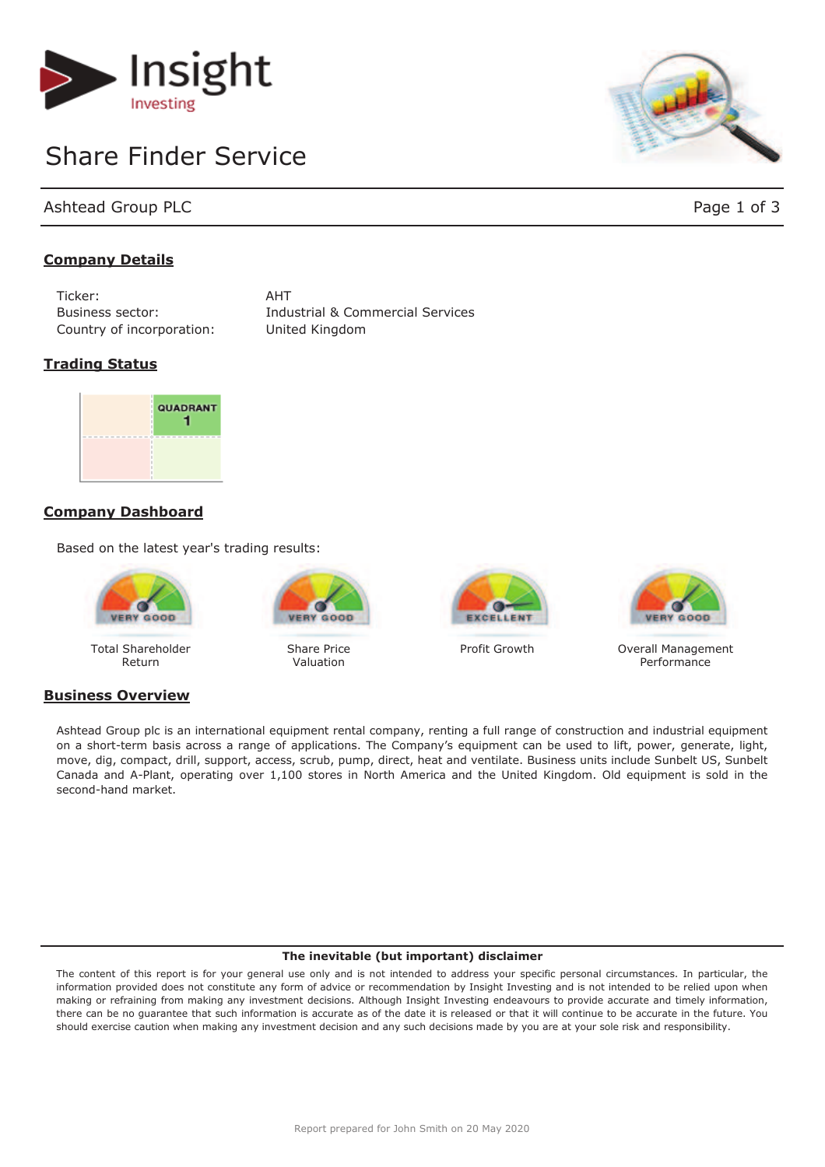

# Share Finder Service

Ashtead Group PLC **Page 1 of 3** 

# **Company Details**

Ticker: AHT Country of incorporation: United Kingdom

Business sector: Industrial & Commercial Services

# **Trading Status**



# **Company Dashboard**

Based on the latest year's trading results:



Total Shareholder Return

# **Business Overview**



Share Price Valuation





Profit Growth **Overall Management Performance** 

Ashtead Group plc is an international equipment rental company, renting a full range of construction and industrial equipment on a short-term basis across a range of applications. The Company's equipment can be used to lift, power, generate, light, move, dig, compact, drill, support, access, scrub, pump, direct, heat and ventilate. Business units include Sunbelt US, Sunbelt Canada and A-Plant, operating over 1,100 stores in North America and the United Kingdom. Old equipment is sold in the second-hand market.

#### **The inevitable (but important) disclaimer**

The content of this report is for your general use only and is not intended to address your specific personal circumstances. In particular, the information provided does not constitute any form of advice or recommendation by Insight Investing and is not intended to be relied upon when making or refraining from making any investment decisions. Although Insight Investing endeavours to provide accurate and timely information, there can be no guarantee that such information is accurate as of the date it is released or that it will continue to be accurate in the future. You should exercise caution when making any investment decision and any such decisions made by you are at your sole risk and responsibility.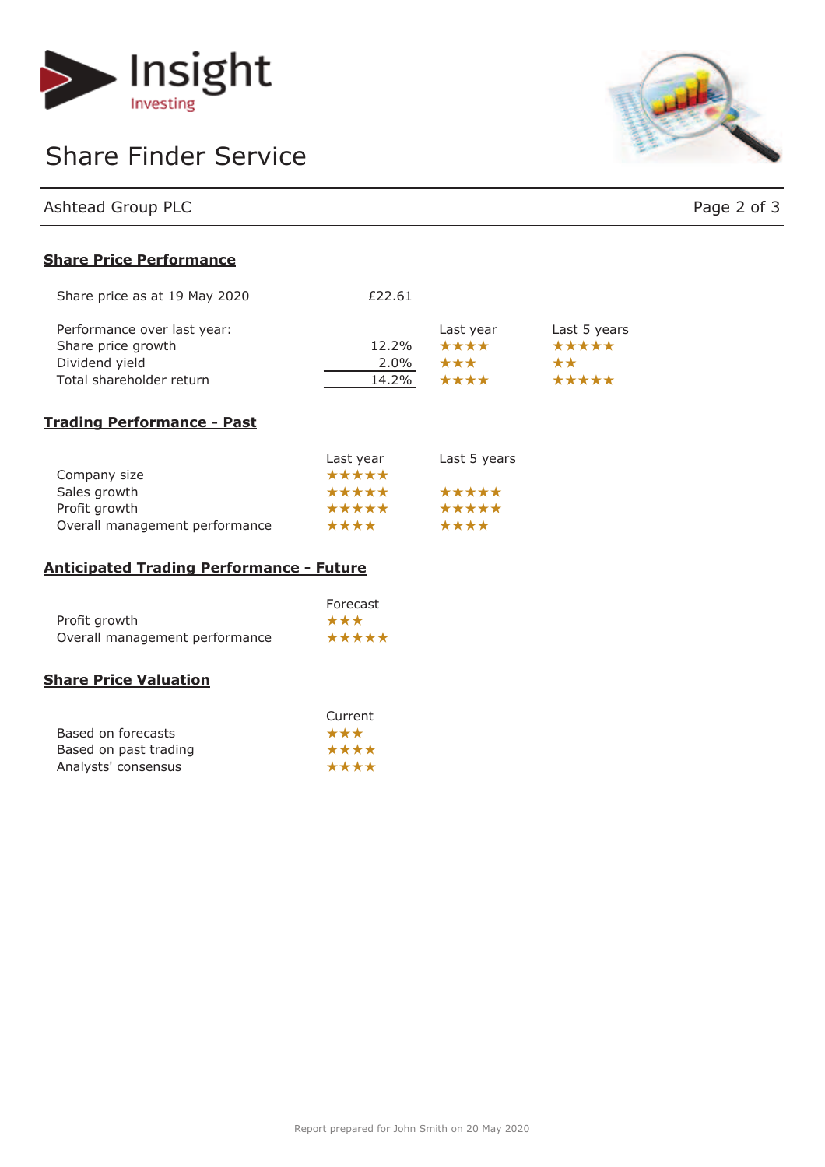

# Share Finder Service



| Ashtead Group PLC | Page 2 of 3 |
|-------------------|-------------|

# **Share Price Performance**

| Share price as at 19 May 2020 | £22.61  |           |              |
|-------------------------------|---------|-----------|--------------|
| Performance over last year:   |         | Last year | Last 5 years |
| Share price growth            | 12.2%   | ****      | *****        |
| Dividend yield                | $2.0\%$ | ***       | $\star\star$ |
| Total shareholder return      | 14.2%   | ****      | *****        |

# **Trading Performance - Past**

|                                | Last year | Last 5 years |
|--------------------------------|-----------|--------------|
| Company size                   | *****     |              |
| Sales growth                   | *****     | *****        |
| Profit growth                  | *****     | *****        |
| Overall management performance | ****      | ****         |

#### **Anticipated Trading Performance - Future**

|                                | Forecast |
|--------------------------------|----------|
| Profit growth                  | ***      |
| Overall management performance | *****    |

# **Share Price Valuation**

|                       | Current |
|-----------------------|---------|
| Based on forecasts    | ***     |
| Based on past trading | ****    |
| Analysts' consensus   | ****    |